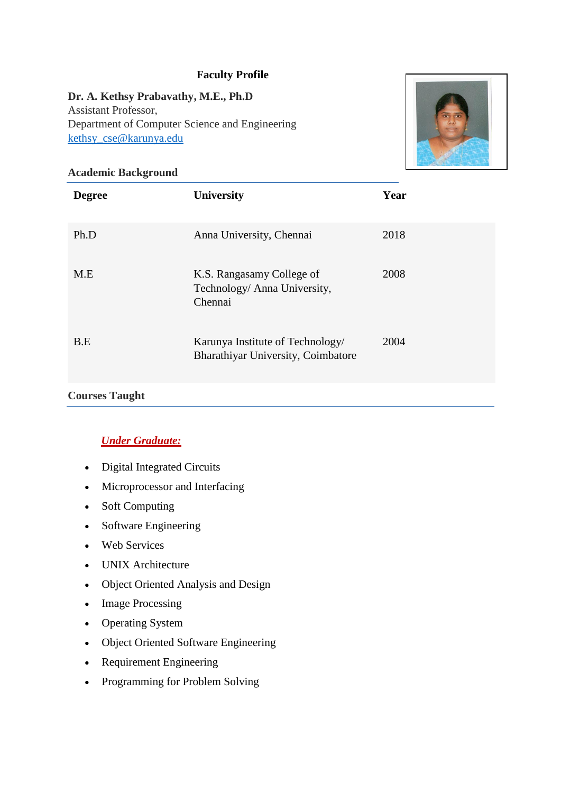### **Faculty Profile**

#### **Dr. A. Kethsy Prabavathy, M.E., Ph.D**

Assistant Professor, Department of Computer Science and Engineering [kethsy\\_cse@karunya.edu](mailto:kethsy_cse@karunya.edu)



#### **Academic Background**

| <b>Degree</b> | <b>University</b>                                                      | Year |
|---------------|------------------------------------------------------------------------|------|
| Ph.D          | Anna University, Chennai                                               | 2018 |
| M.E           | K.S. Rangasamy College of<br>Technology/ Anna University,<br>Chennai   | 2008 |
| B.E           | Karunya Institute of Technology/<br>Bharathiyar University, Coimbatore | 2004 |

#### **Courses Taught**

## *Under Graduate:*

- Digital Integrated Circuits
- Microprocessor and Interfacing
- Soft Computing
- Software Engineering
- Web Services
- UNIX Architecture
- Object Oriented Analysis and Design
- Image Processing
- Operating System
- Object Oriented Software Engineering
- Requirement Engineering
- Programming for Problem Solving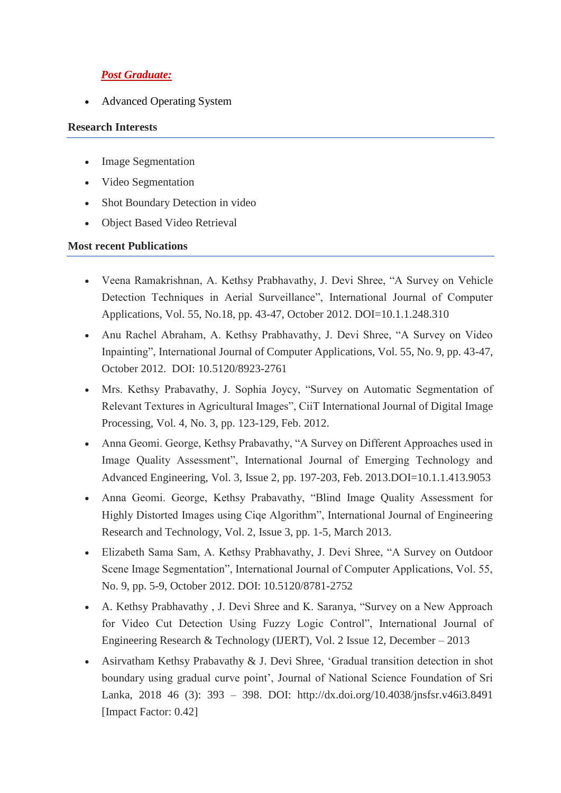# *Post Graduate:*

Advanced Operating System

#### **Research Interests**

- Image Segmentation
- Video Segmentation
- Shot Boundary Detection in video
- Object Based Video Retrieval

#### **Most recent Publications**

- Veena Ramakrishnan, A. Kethsy Prabhavathy, J. Devi Shree, "A Survey on Vehicle Detection Techniques in Aerial Surveillance", International Journal of Computer Applications, Vol. 55, No.18, pp. 43-47, October 2012. DOI=10.1.1.248.310
- Anu Rachel Abraham, A. Kethsy Prabhavathy, J. Devi Shree, "A Survey on Video Inpainting", International Journal of Computer Applications, Vol. 55, No. 9, pp. 43-47, October 2012. DOI: 10.5120/8923-2761
- Mrs. Kethsy Prabavathy, J. Sophia Joycy, "Survey on Automatic Segmentation of Relevant Textures in Agricultural Images", CiiT International Journal of Digital Image Processing, Vol. 4, No. 3, pp. 123-129, Feb. 2012.
- Anna Geomi. George, Kethsy Prabavathy, "A Survey on Different Approaches used in Image Quality Assessment", International Journal of Emerging Technology and Advanced Engineering, Vol. 3, Issue 2, pp. 197-203, Feb. 2013.DOI=10.1.1.413.9053
- Anna Geomi. George, Kethsy Prabavathy, "Blind Image Quality Assessment for Highly Distorted Images using Ciqe Algorithm", International Journal of Engineering Research and Technology, Vol. 2, Issue 3, pp. 1-5, March 2013.
- Elizabeth Sama Sam, A. Kethsy Prabhavathy, J. Devi Shree, "A Survey on Outdoor Scene Image Segmentation", International Journal of Computer Applications, Vol. 55, No. 9, pp. 5-9, October 2012. DOI: 10.5120/8781-2752
- A. Kethsy Prabhavathy , J. Devi Shree and K. Saranya, "Survey on a New Approach for Video Cut Detection Using Fuzzy Logic Control", International Journal of Engineering Research & Technology (IJERT), Vol. 2 Issue 12, December – 2013
- Asirvatham Kethsy Prabavathy & J. Devi Shree, 'Gradual transition detection in shot boundary using gradual curve point', Journal of National Science Foundation of Sri Lanka, 2018 46 (3): 393 – 398. DOI: http://dx.doi.org/10.4038/jnsfsr.v46i3.8491 [Impact Factor: 0.42]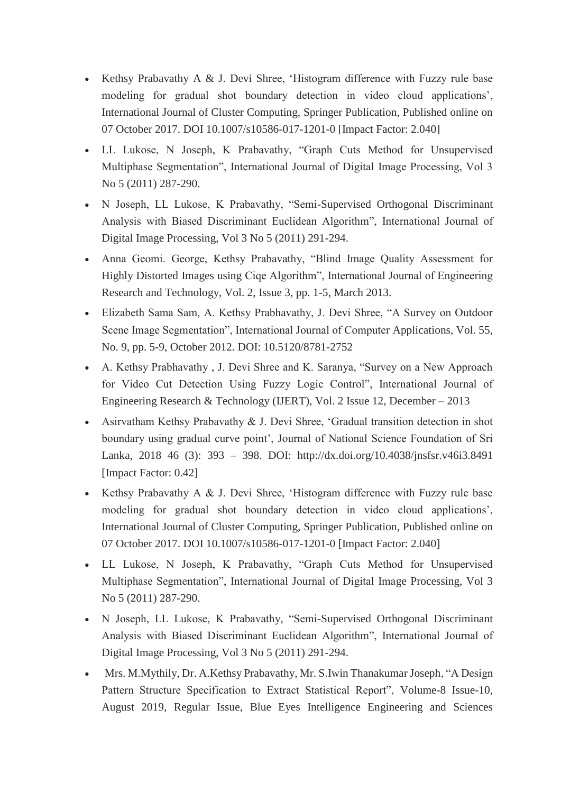- Kethsy Prabavathy A & J. Devi Shree, 'Histogram difference with Fuzzy rule base modeling for gradual shot boundary detection in video cloud applications', International Journal of Cluster Computing, Springer Publication, Published online on 07 October 2017. DOI 10.1007/s10586-017-1201-0 [Impact Factor: 2.040]
- LL Lukose, N Joseph, K Prabavathy, "Graph Cuts Method for Unsupervised Multiphase Segmentation", International Journal of Digital Image Processing, Vol 3 No 5 (2011) 287-290.
- N Joseph, LL Lukose, K Prabavathy, "Semi-Supervised Orthogonal Discriminant Analysis with Biased Discriminant Euclidean Algorithm", International Journal of Digital Image Processing, Vol 3 No 5 (2011) 291-294.
- Anna Geomi. George, Kethsy Prabavathy, "Blind Image Quality Assessment for Highly Distorted Images using Ciqe Algorithm", International Journal of Engineering Research and Technology, Vol. 2, Issue 3, pp. 1-5, March 2013.
- Elizabeth Sama Sam, A. Kethsy Prabhavathy, J. Devi Shree, "A Survey on Outdoor Scene Image Segmentation", International Journal of Computer Applications, Vol. 55, No. 9, pp. 5-9, October 2012. DOI: 10.5120/8781-2752
- A. Kethsy Prabhavathy , J. Devi Shree and K. Saranya, "Survey on a New Approach for Video Cut Detection Using Fuzzy Logic Control", International Journal of Engineering Research & Technology (IJERT), Vol. 2 Issue 12, December – 2013
- Asirvatham Kethsy Prabavathy & J. Devi Shree, 'Gradual transition detection in shot boundary using gradual curve point', Journal of National Science Foundation of Sri Lanka, 2018 46 (3): 393 – 398. DOI: http://dx.doi.org/10.4038/jnsfsr.v46i3.8491 [Impact Factor: 0.42]
- Kethsy Prabavathy A & J. Devi Shree, 'Histogram difference with Fuzzy rule base modeling for gradual shot boundary detection in video cloud applications', International Journal of Cluster Computing, Springer Publication, Published online on 07 October 2017. DOI 10.1007/s10586-017-1201-0 [Impact Factor: 2.040]
- LL Lukose, N Joseph, K Prabavathy, "Graph Cuts Method for Unsupervised Multiphase Segmentation", International Journal of Digital Image Processing, Vol 3 No 5 (2011) 287-290.
- N Joseph, LL Lukose, K Prabavathy, "Semi-Supervised Orthogonal Discriminant Analysis with Biased Discriminant Euclidean Algorithm", International Journal of Digital Image Processing, Vol 3 No 5 (2011) 291-294.
- Mrs. M.Mythily, Dr. A.Kethsy Prabavathy, Mr. S.Iwin Thanakumar Joseph, "A Design Pattern Structure Specification to Extract Statistical Report", Volume-8 Issue-10, August 2019, Regular Issue, Blue Eyes Intelligence Engineering and Sciences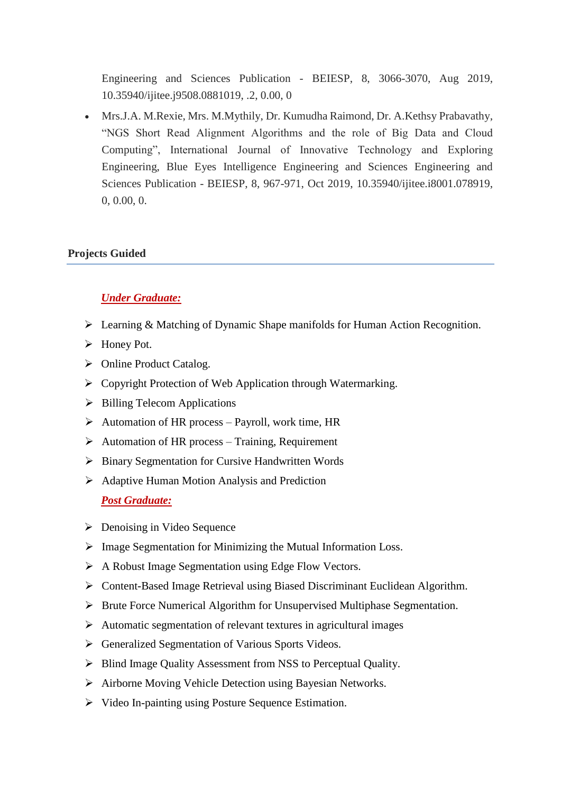Engineering and Sciences Publication - BEIESP, 8, 3066-3070, Aug 2019, 10.35940/ijitee.j9508.0881019, .2, 0.00, 0

 Mrs.J.A. M.Rexie, Mrs. M.Mythily, Dr. Kumudha Raimond, Dr. A.Kethsy Prabavathy, "NGS Short Read Alignment Algorithms and the role of Big Data and Cloud Computing", International Journal of Innovative Technology and Exploring Engineering, Blue Eyes Intelligence Engineering and Sciences Engineering and Sciences Publication - BEIESP, 8, 967-971, Oct 2019, 10.35940/ijitee.i8001.078919, 0, 0.00, 0.

### **Projects Guided**

### *Under Graduate:*

- Learning & Matching of Dynamic Shape manifolds for Human Action Recognition.
- Honey Pot.
- $\triangleright$  Online Product Catalog.
- $\triangleright$  Copyright Protection of Web Application through Watermarking.
- $\triangleright$  Billing Telecom Applications
- $\triangleright$  Automation of HR process Payroll, work time, HR
- $\triangleright$  Automation of HR process Training, Requirement
- $\triangleright$  Binary Segmentation for Cursive Handwritten Words
- $\triangleright$  Adaptive Human Motion Analysis and Prediction *Post Graduate:*
- $\triangleright$  Denoising in Video Sequence
- $\triangleright$  Image Segmentation for Minimizing the Mutual Information Loss.
- A Robust Image Segmentation using Edge Flow Vectors.
- Content-Based Image Retrieval using Biased Discriminant Euclidean Algorithm.
- $\triangleright$  Brute Force Numerical Algorithm for Unsupervised Multiphase Segmentation.
- $\triangleright$  Automatic segmentation of relevant textures in agricultural images
- Generalized Segmentation of Various Sports Videos.
- $\triangleright$  Blind Image Quality Assessment from NSS to Perceptual Quality.
- Airborne Moving Vehicle Detection using Bayesian Networks.
- $\triangleright$  Video In-painting using Posture Sequence Estimation.